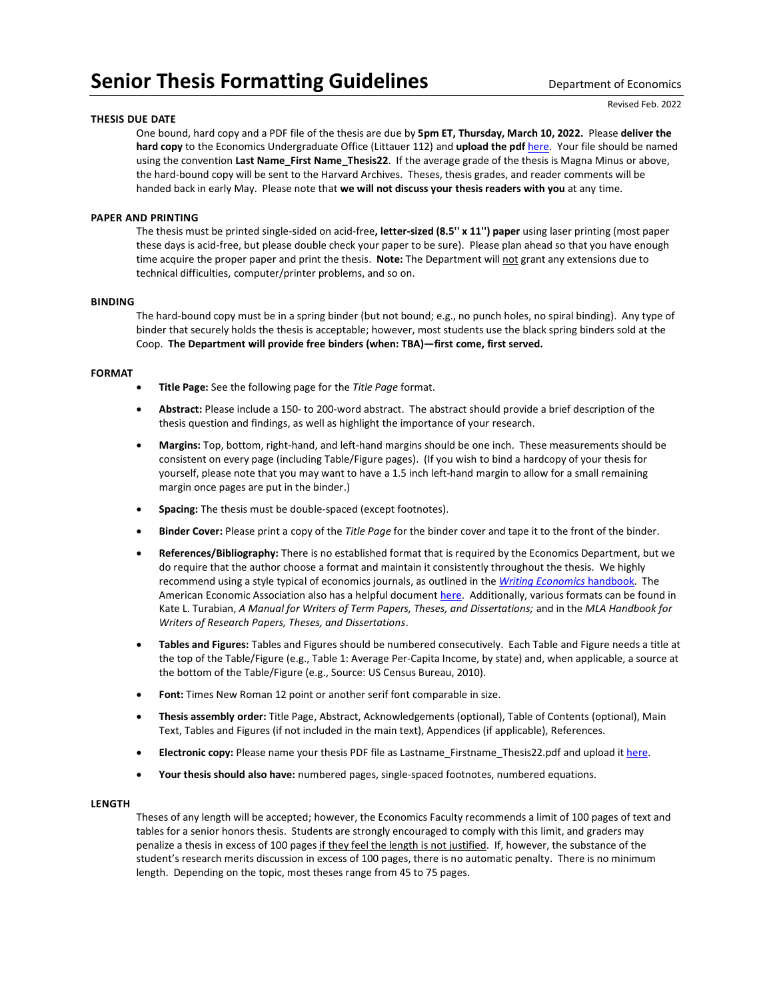# **Senior Thesis Formatting Guidelines** Department of Economics

### **THESIS DUE DATE**

Revised Feb. 2022

One bound, hard copy and a PDF file of the thesis are due by **5pm ET, Thursday, March 10, 2022.** Please **deliver the hard copy** to the Economics Undergraduate Office (Littauer 112) and **upload the pdf** [here.](https://harvard.az1.qualtrics.com/jfe/form/SV_eKX1wi03xdU7utM) Your file should be named using the convention **Last Name\_First Name\_Thesis22**. If the average grade of the thesis is Magna Minus or above, the hard-bound copy will be sent to the Harvard Archives. Theses, thesis grades, and reader comments will be handed back in early May. Please note that **we will not discuss your thesis readers with you** at any time.

## **PAPER AND PRINTING**

The thesis must be printed single-sided on acid-free**, letter-sized (8.5'' x 11'') paper** using laser printing (most paper these days is acid-free, but please double check your paper to be sure). Please plan ahead so that you have enough time acquire the proper paper and print the thesis. **Note:** The Department will not grant any extensions due to technical difficulties, computer/printer problems, and so on.

### **BINDING**

The hard-bound copy must be in a spring binder (but not bound; e.g., no punch holes, no spiral binding). Any type of binder that securely holds the thesis is acceptable; however, most students use the black spring binders sold at the Coop. **The Department will provide free binders (when: TBA)—first come, first served.**

#### **FORMAT**

- **Title Page:** See the following page for the *Title Page* format.
- **Abstract:** Please include a 150- to 200-word abstract. The abstract should provide a brief description of the thesis question and findings, as well as highlight the importance of your research.
- **Margins:** Top, bottom, right-hand, and left-hand margins should be one inch. These measurements should be consistent on every page (including Table/Figure pages). (If you wish to bind a hardcopy of your thesis for yourself, please note that you may want to have a 1.5 inch left-hand margin to allow for a small remaining margin once pages are put in the binder.)
- **Spacing:** The thesis must be double-spaced (except footnotes).
- **Binder Cover:** Please print a copy of the *Title Page* for the binder cover and tape it to the front of the binder.
- **References/Bibliography:** There is no established format that is required by the Economics Department, but we do require that the author choose a format and maintain it consistently throughout the thesis. We highly recommend using a style typical of economics journals, as outlined in the *[Writing Economics](https://economics.harvard.edu/senior-thesis)* handbook. The American Economic Association also has a helpful document [here.](https://www.aeaweb.org/journals/policies/sample-references) Additionally, various formats can be found in Kate L. Turabian, *A Manual for Writers of Term Papers, Theses, and Dissertations;* and in the *MLA Handbook for Writers of Research Papers, Theses, and Dissertations*.
- **Tables and Figures:** Tables and Figures should be numbered consecutively. Each Table and Figure needs a title at the top of the Table/Figure (e.g., Table 1: Average Per-Capita Income, by state) and, when applicable, a source at the bottom of the Table/Figure (e.g., Source: US Census Bureau, 2010).
- Font: Times New Roman 12 point or another serif font comparable in size.
- **Thesis assembly order:** Title Page, Abstract, Acknowledgements (optional), Table of Contents (optional), Main Text, Tables and Figures (if not included in the main text), Appendices (if applicable), References.
- **Electronic copy:** Please name your thesis PDF file as Lastname Firstname Thesis22.pdf and upload i[t here.](https://harvard.az1.qualtrics.com/jfe/form/SV_eKX1wi03xdU7utM)
- **Your thesis should also have:** numbered pages, single-spaced footnotes, numbered equations.

### **LENGTH**

Theses of any length will be accepted; however, the Economics Faculty recommends a limit of 100 pages of text and tables for a senior honors thesis. Students are strongly encouraged to comply with this limit, and graders may penalize a thesis in excess of 100 pages if they feel the length is not justified. If, however, the substance of the student's research merits discussion in excess of 100 pages, there is no automatic penalty. There is no minimum length. Depending on the topic, most theses range from 45 to 75 pages.